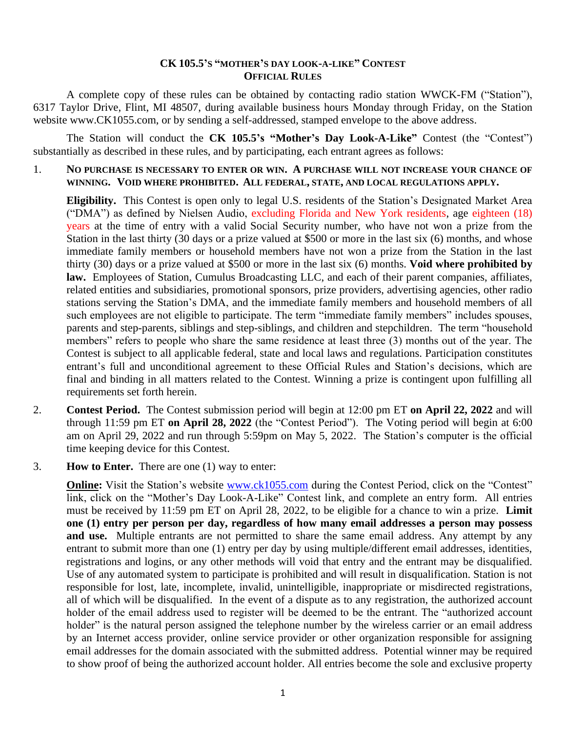## **CK 105.5'S "MOTHER'S DAY LOOK-A-LIKE" CONTEST OFFICIAL RULES**

A complete copy of these rules can be obtained by contacting radio station WWCK-FM ("Station"), 6317 Taylor Drive, Flint, MI 48507, during available business hours Monday through Friday, on the Station website www.CK1055.com, or by sending a self-addressed, stamped envelope to the above address.

The Station will conduct the **CK 105.5's "Mother's Day Look-A-Like"** Contest (the "Contest") substantially as described in these rules, and by participating, each entrant agrees as follows:

1. **NO PURCHASE IS NECESSARY TO ENTER OR WIN. A PURCHASE WILL NOT INCREASE YOUR CHANCE OF WINNING. VOID WHERE PROHIBITED. ALL FEDERAL, STATE, AND LOCAL REGULATIONS APPLY.**

**Eligibility.** This Contest is open only to legal U.S. residents of the Station's Designated Market Area ("DMA") as defined by Nielsen Audio, excluding Florida and New York residents, age eighteen (18) years at the time of entry with a valid Social Security number, who have not won a prize from the Station in the last thirty (30 days or a prize valued at \$500 or more in the last six (6) months, and whose immediate family members or household members have not won a prize from the Station in the last thirty (30) days or a prize valued at \$500 or more in the last six (6) months. **Void where prohibited by law.** Employees of Station, Cumulus Broadcasting LLC, and each of their parent companies, affiliates, related entities and subsidiaries, promotional sponsors, prize providers, advertising agencies, other radio stations serving the Station's DMA, and the immediate family members and household members of all such employees are not eligible to participate. The term "immediate family members" includes spouses, parents and step-parents, siblings and step-siblings, and children and stepchildren. The term "household members" refers to people who share the same residence at least three (3) months out of the year. The Contest is subject to all applicable federal, state and local laws and regulations. Participation constitutes entrant's full and unconditional agreement to these Official Rules and Station's decisions, which are final and binding in all matters related to the Contest. Winning a prize is contingent upon fulfilling all requirements set forth herein.

- 2. **Contest Period.** The Contest submission period will begin at 12:00 pm ET **on April 22, 2022** and will through 11:59 pm ET **on April 28, 2022** (the "Contest Period"). The Voting period will begin at 6:00 am on April 29, 2022 and run through 5:59pm on May 5, 2022. The Station's computer is the official time keeping device for this Contest.
- 3. **How to Enter.** There are one (1) way to enter:

**Online:** Visit the Station's website [www.ck1055.com](http://www.ck1055.com/) during the Contest Period, click on the "Contest" link, click on the "Mother's Day Look-A-Like" Contest link, and complete an entry form. All entries must be received by 11:59 pm ET on April 28, 2022, to be eligible for a chance to win a prize. **Limit one (1) entry per person per day, regardless of how many email addresses a person may possess**  and use. Multiple entrants are not permitted to share the same email address. Any attempt by any entrant to submit more than one (1) entry per day by using multiple/different email addresses, identities, registrations and logins, or any other methods will void that entry and the entrant may be disqualified. Use of any automated system to participate is prohibited and will result in disqualification. Station is not responsible for lost, late, incomplete, invalid, unintelligible, inappropriate or misdirected registrations, all of which will be disqualified. In the event of a dispute as to any registration, the authorized account holder of the email address used to register will be deemed to be the entrant. The "authorized account holder" is the natural person assigned the telephone number by the wireless carrier or an email address by an Internet access provider, online service provider or other organization responsible for assigning email addresses for the domain associated with the submitted address. Potential winner may be required to show proof of being the authorized account holder. All entries become the sole and exclusive property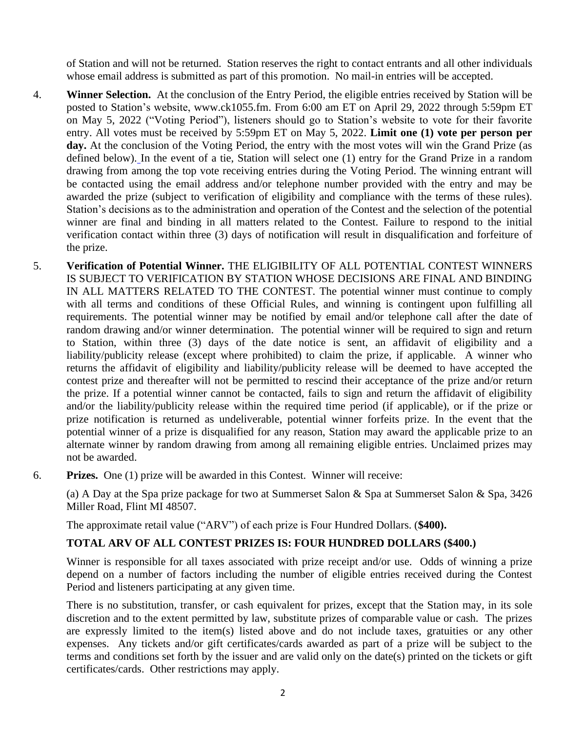of Station and will not be returned. Station reserves the right to contact entrants and all other individuals whose email address is submitted as part of this promotion. No mail-in entries will be accepted.

- 4. **Winner Selection.** At the conclusion of the Entry Period, the eligible entries received by Station will be posted to Station's website, [www.ck1055.fm.](http://www.nashfm951.com/) From 6:00 am ET on April 29, 2022 through 5:59pm ET on May 5, 2022 ("Voting Period"), listeners should go to Station's website to vote for their favorite entry. All votes must be received by 5:59pm ET on May 5, 2022. **Limit one (1) vote per person per**  day. At the conclusion of the Voting Period, the entry with the most votes will win the Grand Prize (as defined below). In the event of a tie, Station will select one (1) entry for the Grand Prize in a random drawing from among the top vote receiving entries during the Voting Period. The winning entrant will be contacted using the email address and/or telephone number provided with the entry and may be awarded the prize (subject to verification of eligibility and compliance with the terms of these rules). Station's decisions as to the administration and operation of the Contest and the selection of the potential winner are final and binding in all matters related to the Contest. Failure to respond to the initial verification contact within three (3) days of notification will result in disqualification and forfeiture of the prize.
- 5. **Verification of Potential Winner.** THE ELIGIBILITY OF ALL POTENTIAL CONTEST WINNERS IS SUBJECT TO VERIFICATION BY STATION WHOSE DECISIONS ARE FINAL AND BINDING IN ALL MATTERS RELATED TO THE CONTEST. The potential winner must continue to comply with all terms and conditions of these Official Rules, and winning is contingent upon fulfilling all requirements. The potential winner may be notified by email and/or telephone call after the date of random drawing and/or winner determination. The potential winner will be required to sign and return to Station, within three (3) days of the date notice is sent, an affidavit of eligibility and a liability/publicity release (except where prohibited) to claim the prize, if applicable. A winner who returns the affidavit of eligibility and liability/publicity release will be deemed to have accepted the contest prize and thereafter will not be permitted to rescind their acceptance of the prize and/or return the prize. If a potential winner cannot be contacted, fails to sign and return the affidavit of eligibility and/or the liability/publicity release within the required time period (if applicable), or if the prize or prize notification is returned as undeliverable, potential winner forfeits prize. In the event that the potential winner of a prize is disqualified for any reason, Station may award the applicable prize to an alternate winner by random drawing from among all remaining eligible entries. Unclaimed prizes may not be awarded.
- 6. **Prizes.** One (1) prize will be awarded in this Contest. Winner will receive:

(a) A Day at the Spa prize package for two at Summerset Salon & Spa at Summerset Salon & Spa, 3426 Miller Road, Flint MI 48507.

The approximate retail value ("ARV") of each prize is Four Hundred Dollars. (**\$400).** 

## **TOTAL ARV OF ALL CONTEST PRIZES IS: FOUR HUNDRED DOLLARS (\$400.)**

Winner is responsible for all taxes associated with prize receipt and/or use. Odds of winning a prize depend on a number of factors including the number of eligible entries received during the Contest Period and listeners participating at any given time.

There is no substitution, transfer, or cash equivalent for prizes, except that the Station may, in its sole discretion and to the extent permitted by law, substitute prizes of comparable value or cash. The prizes are expressly limited to the item(s) listed above and do not include taxes, gratuities or any other expenses. Any tickets and/or gift certificates/cards awarded as part of a prize will be subject to the terms and conditions set forth by the issuer and are valid only on the date(s) printed on the tickets or gift certificates/cards. Other restrictions may apply.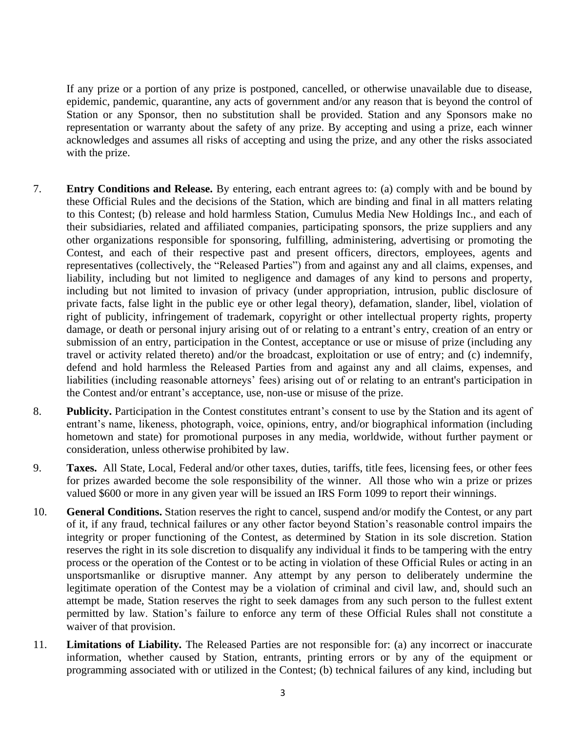If any prize or a portion of any prize is postponed, cancelled, or otherwise unavailable due to disease, epidemic, pandemic, quarantine, any acts of government and/or any reason that is beyond the control of Station or any Sponsor, then no substitution shall be provided. Station and any Sponsors make no representation or warranty about the safety of any prize. By accepting and using a prize, each winner acknowledges and assumes all risks of accepting and using the prize, and any other the risks associated with the prize.

- 7. **Entry Conditions and Release.** By entering, each entrant agrees to: (a) comply with and be bound by these Official Rules and the decisions of the Station, which are binding and final in all matters relating to this Contest; (b) release and hold harmless Station, Cumulus Media New Holdings Inc., and each of their subsidiaries, related and affiliated companies, participating sponsors, the prize suppliers and any other organizations responsible for sponsoring, fulfilling, administering, advertising or promoting the Contest, and each of their respective past and present officers, directors, employees, agents and representatives (collectively, the "Released Parties") from and against any and all claims, expenses, and liability, including but not limited to negligence and damages of any kind to persons and property, including but not limited to invasion of privacy (under appropriation, intrusion, public disclosure of private facts, false light in the public eye or other legal theory), defamation, slander, libel, violation of right of publicity, infringement of trademark, copyright or other intellectual property rights, property damage, or death or personal injury arising out of or relating to a entrant's entry, creation of an entry or submission of an entry, participation in the Contest, acceptance or use or misuse of prize (including any travel or activity related thereto) and/or the broadcast, exploitation or use of entry; and (c) indemnify, defend and hold harmless the Released Parties from and against any and all claims, expenses, and liabilities (including reasonable attorneys' fees) arising out of or relating to an entrant's participation in the Contest and/or entrant's acceptance, use, non-use or misuse of the prize.
- 8. **Publicity.** Participation in the Contest constitutes entrant's consent to use by the Station and its agent of entrant's name, likeness, photograph, voice, opinions, entry, and/or biographical information (including hometown and state) for promotional purposes in any media, worldwide, without further payment or consideration, unless otherwise prohibited by law.
- 9. **Taxes.** All State, Local, Federal and/or other taxes, duties, tariffs, title fees, licensing fees, or other fees for prizes awarded become the sole responsibility of the winner. All those who win a prize or prizes valued \$600 or more in any given year will be issued an IRS Form 1099 to report their winnings.
- 10. **General Conditions.** Station reserves the right to cancel, suspend and/or modify the Contest, or any part of it, if any fraud, technical failures or any other factor beyond Station's reasonable control impairs the integrity or proper functioning of the Contest, as determined by Station in its sole discretion. Station reserves the right in its sole discretion to disqualify any individual it finds to be tampering with the entry process or the operation of the Contest or to be acting in violation of these Official Rules or acting in an unsportsmanlike or disruptive manner. Any attempt by any person to deliberately undermine the legitimate operation of the Contest may be a violation of criminal and civil law, and, should such an attempt be made, Station reserves the right to seek damages from any such person to the fullest extent permitted by law. Station's failure to enforce any term of these Official Rules shall not constitute a waiver of that provision.
- 11. **Limitations of Liability.** The Released Parties are not responsible for: (a) any incorrect or inaccurate information, whether caused by Station, entrants, printing errors or by any of the equipment or programming associated with or utilized in the Contest; (b) technical failures of any kind, including but